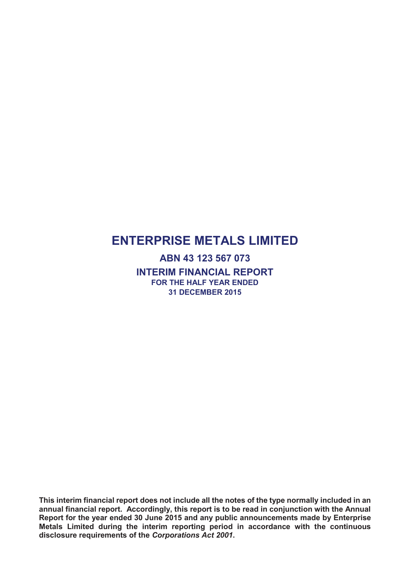**ABN 43 123 567 073 INTERIM FINANCIAL REPORT FOR THE HALF YEAR ENDED 31 DECEMBER 2015**

**This interim financial report does not include all the notes of the type normally included in an annual financial report. Accordingly, this report is to be read in conjunction with the Annual Report for the year ended 30 June 2015 and any public announcements made by Enterprise Metals Limited during the interim reporting period in accordance with the continuous disclosure requirements of the** *Corporations Act 2001***.**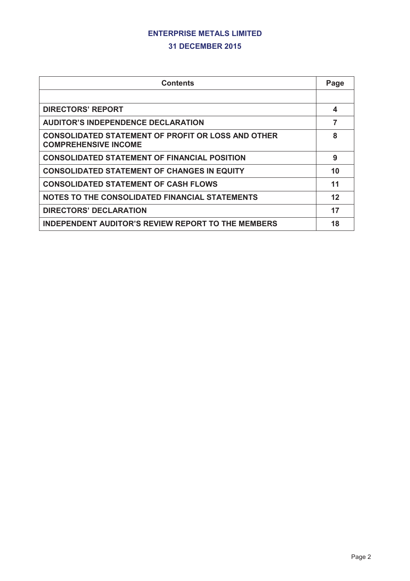#### **31 DECEMBER 2015**

| <b>Contents</b>                                                                          | Page    |
|------------------------------------------------------------------------------------------|---------|
|                                                                                          |         |
| <b>DIRECTORS' REPORT</b>                                                                 | 4       |
| <b>AUDITOR'S INDEPENDENCE DECLARATION</b>                                                | 7       |
| <b>CONSOLIDATED STATEMENT OF PROFIT OR LOSS AND OTHER</b><br><b>COMPREHENSIVE INCOME</b> | 8       |
| <b>CONSOLIDATED STATEMENT OF FINANCIAL POSITION</b>                                      | 9       |
| <b>CONSOLIDATED STATEMENT OF CHANGES IN EQUITY</b>                                       | 10      |
| <b>CONSOLIDATED STATEMENT OF CASH FLOWS</b>                                              | 11      |
| NOTES TO THE CONSOLIDATED FINANCIAL STATEMENTS                                           | $12 \,$ |
| <b>DIRECTORS' DECLARATION</b>                                                            | 17      |
| <b>INDEPENDENT AUDITOR'S REVIEW REPORT TO THE MEMBERS</b>                                | 18      |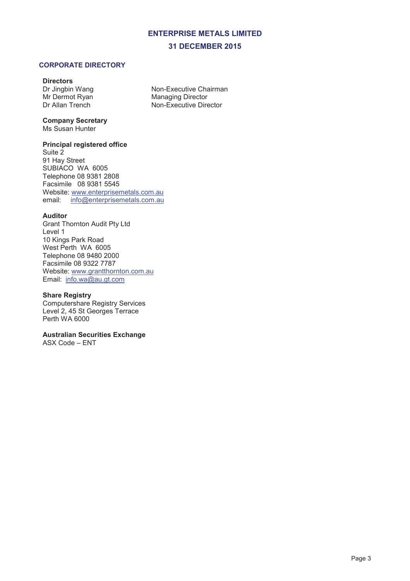#### **CORPORATE DIRECTORY**

#### **Directors**

Dr Jingbin Wang Mr Dermot Ryan Dr Allan Trench

Non-Executive Chairman Managing Director Non-Executive Director

## **Company Secretary**

Ms Susan Hunter

#### **Principal registered office**

Suite 2 91 Hay Street SUBIACO WA 6005 Telephone 08 9381 2808 Facsimile 08 9381 5545 Website: www.enterprisemetals.com.au email: info@enterprisemetals.com.au

#### **Auditor**

Grant Thornton Audit Pty Ltd Level 1 10 Kings Park Road West Perth WA 6005 Telephone 08 9480 2000 Facsimile 08 9322 7787 Website: www.grantthornton.com.au Email: info.wa@au.gt.com

#### **Share Registry**

Computershare Registry Services Level 2, 45 St Georges Terrace Perth WA 6000

#### **Australian Securities Exchange**

ASX Code – ENT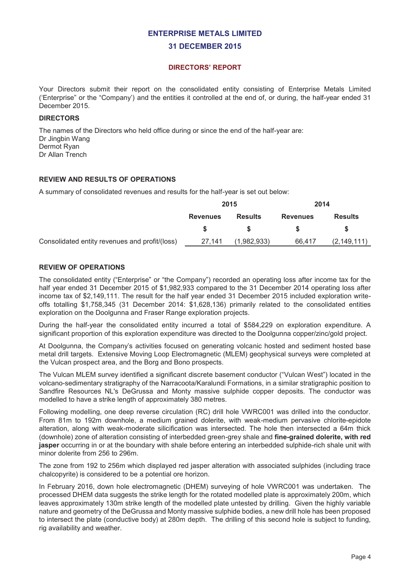#### **DIRECTORS' REPORT**

Your Directors submit their report on the consolidated entity consisting of Enterprise Metals Limited ('Enterprise" or the "Company') and the entities it controlled at the end of, or during, the half-year ended 31 December 2015.

#### **DIRECTORS**

The names of the Directors who held office during or since the end of the half-year are: Dr Jingbin Wang Dermot Ryan Dr Allan Trench

#### **REVIEW AND RESULTS OF OPERATIONS**

A summary of consolidated revenues and results for the half-year is set out below:

|                                                | 2015                              |             | 2014            |               |                |  |
|------------------------------------------------|-----------------------------------|-------------|-----------------|---------------|----------------|--|
|                                                | <b>Results</b><br><b>Revenues</b> |             | <b>Revenues</b> |               | <b>Results</b> |  |
|                                                |                                   |             |                 |               |                |  |
| Consolidated entity revenues and profit/(loss) | 27.141                            | (1,982,933) | 66.417          | (2, 149, 111) |                |  |

#### **REVIEW OF OPERATIONS**

The consolidated entity ("Enterprise" or "the Company") recorded an operating loss after income tax for the half year ended 31 December 2015 of \$1,982,933 compared to the 31 December 2014 operating loss after income tax of \$2,149,111. The result for the half year ended 31 December 2015 included exploration writeoffs totalling \$1,758,345 (31 December 2014: \$1,628,136) primarily related to the consolidated entities exploration on the Doolgunna and Fraser Range exploration projects.

During the half-year the consolidated entity incurred a total of \$584,229 on exploration expenditure. A significant proportion of this exploration expenditure was directed to the Doolgunna copper/zinc/gold project.

At Doolgunna, the Company's activities focused on generating volcanic hosted and sediment hosted base metal drill targets. Extensive Moving Loop Electromagnetic (MLEM) geophysical surveys were completed at the Vulcan prospect area, and the Borg and Bono prospects.

The Vulcan MLEM survey identified a significant discrete basement conductor ("Vulcan West") located in the volcano-sedimentary stratigraphy of the Narracoota/Karalundi Formations, in a similar stratigraphic position to Sandfire Resources NL's DeGrussa and Monty massive sulphide copper deposits. The conductor was modelled to have a strike length of approximately 380 metres.

Following modelling, one deep reverse circulation (RC) drill hole VWRC001 was drilled into the conductor. From 81m to 192m downhole, a medium grained dolerite, with weak-medium pervasive chlorite-epidote alteration, along with weak-moderate silicification was intersected. The hole then intersected a 64m thick (downhole) zone of alteration consisting of interbedded green-grey shale and **fine-grained dolerite, with red jasper** occurring in or at the boundary with shale before entering an interbedded sulphide-rich shale unit with minor dolerite from 256 to 296m.

The zone from 192 to 256m which displayed red jasper alteration with associated sulphides (including trace chalcopyrite) is considered to be a potential ore horizon.

In February 2016, down hole electromagnetic (DHEM) surveying of hole VWRC001 was undertaken. The processed DHEM data suggests the strike length for the rotated modelled plate is approximately 200m, which leaves approximately 130m strike length of the modelled plate untested by drilling. Given the highly variable nature and geometry of the DeGrussa and Monty massive sulphide bodies, a new drill hole has been proposed to intersect the plate (conductive body) at 280m depth. The drilling of this second hole is subject to funding, rig availability and weather.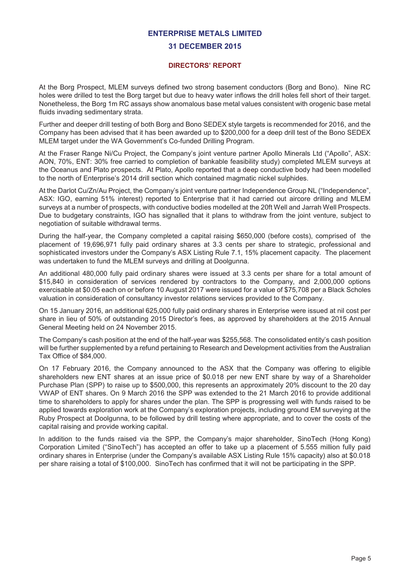#### **31 DECEMBER 2015**

#### **DIRECTORS' REPORT**

At the Borg Prospect, MLEM surveys defined two strong basement conductors (Borg and Bono). Nine RC holes were drilled to test the Borg target but due to heavy water inflows the drill holes fell short of their target. Nonetheless, the Borg 1m RC assays show anomalous base metal values consistent with orogenic base metal fluids invading sedimentary strata.

Further and deeper drill testing of both Borg and Bono SEDEX style targets is recommended for 2016, and the Company has been advised that it has been awarded up to \$200,000 for a deep drill test of the Bono SEDEX MLEM target under the WA Government's Co-funded Drilling Program.

At the Fraser Range Ni/Cu Project, the Company's joint venture partner Apollo Minerals Ltd ("Apollo", ASX: AON, 70%, ENT: 30% free carried to completion of bankable feasibility study) completed MLEM surveys at the Oceanus and Plato prospects. At Plato, Apollo reported that a deep conductive body had been modelled to the north of Enterprise's 2014 drill section which contained magmatic nickel sulphides.

At the Darlot Cu/Zn/Au Project, the Company's joint venture partner Independence Group NL ("Independence", ASX: IGO, earning 51% interest) reported to Enterprise that it had carried out aircore drilling and MLEM surveys at a number of prospects, with conductive bodies modelled at the 20ft Well and Jarrah Well Prospects. Due to budgetary constraints, IGO has signalled that it plans to withdraw from the joint venture, subject to negotiation of suitable withdrawal terms.

During the half-year, the Company completed a capital raising \$650,000 (before costs), comprised of the placement of 19,696,971 fully paid ordinary shares at 3.3 cents per share to strategic, professional and sophisticated investors under the Company's ASX Listing Rule 7.1, 15% placement capacity. The placement was undertaken to fund the MLEM surveys and drilling at Doolgunna.

An additional 480,000 fully paid ordinary shares were issued at 3.3 cents per share for a total amount of \$15,840 in consideration of services rendered by contractors to the Company, and 2,000,000 options exercisable at \$0.05 each on or before 10 August 2017 were issued for a value of \$75,708 per a Black Scholes valuation in consideration of consultancy investor relations services provided to the Company.

On 15 January 2016, an additional 625,000 fully paid ordinary shares in Enterprise were issued at nil cost per share in lieu of 50% of outstanding 2015 Director's fees, as approved by shareholders at the 2015 Annual General Meeting held on 24 November 2015.

The Company's cash position at the end of the half-year was \$255,568. The consolidated entity's cash position will be further supplemented by a refund pertaining to Research and Development activities from the Australian Tax Office of \$84,000.

On 17 February 2016, the Company announced to the ASX that the Company was offering to eligible shareholders new ENT shares at an issue price of \$0.018 per new ENT share by way of a Shareholder Purchase Plan (SPP) to raise up to \$500,000, this represents an approximately 20% discount to the 20 day VWAP of ENT shares. On 9 March 2016 the SPP was extended to the 21 March 2016 to provide additional time to shareholders to apply for shares under the plan. The SPP is progressing well with funds raised to be applied towards exploration work at the Company's exploration projects, including ground EM surveying at the Ruby Prospect at Doolgunna, to be followed by drill testing where appropriate, and to cover the costs of the capital raising and provide working capital.

In addition to the funds raised via the SPP, the Company's major shareholder, SinoTech (Hong Kong) Corporation Limited ("SinoTech") has accepted an offer to take up a placement of 5.555 million fully paid ordinary shares in Enterprise (under the Company's available ASX Listing Rule 15% capacity) also at \$0.018 per share raising a total of \$100,000. SinoTech has confirmed that it will not be participating in the SPP.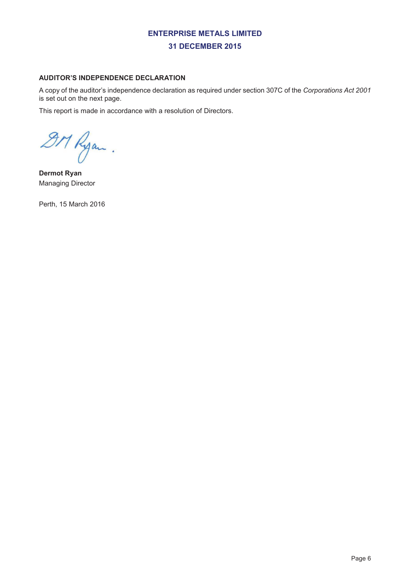#### **AUDITOR'S INDEPENDENCE DECLARATION**

A copy of the auditor's independence declaration as required under section 307C of the *Corporations Act 2001* is set out on the next page.

This report is made in accordance with a resolution of Directors.

9M Ryan.

**Dermot Ryan**  Managing Director

Perth, 15 March 2016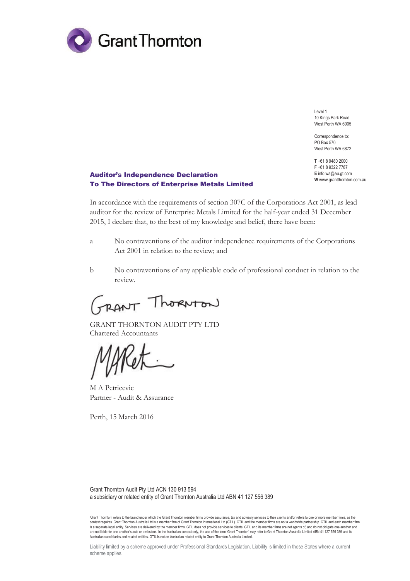

Level 1 10 Kings Park Road West Perth WA 6005

Correspondence to: PO Box 570 West Perth WA 6872

**T** +61 8 9480 2000 **F** +61 8 9322 7787 **E** info.wa@au.gt.com **W** www.grantthornton.com.au

#### Auditor's Independence Declaration To The Directors of Enterprise Metals Limited

In accordance with the requirements of section 307C of the Corporations Act 2001, as lead auditor for the review of Enterprise Metals Limited for the half-year ended 31 December 2015, I declare that, to the best of my knowledge and belief, there have been:

- a No contraventions of the auditor independence requirements of the Corporations Act 2001 in relation to the review; and
- b No contraventions of any applicable code of professional conduct in relation to the review.

GRANT ThORNTON

GRANT THORNTON AUDIT PTY LTD Chartered Accountants

NU

M A Petricevic Partner - Audit & Assurance

Perth, 15 March 2016

Grant Thornton Audit Pty Ltd ACN 130 913 594 a subsidiary or related entity of Grant Thornton Australia Ltd ABN 41 127 556 389

'Grant Thornton' refers to the brand under which the Grant Thornton member firms provide assurance, tax and advisory services to their clients and/or refers to one or more member firms, as the context requires. Grant Thomton Australia Ltd is a member firm of Grant Thomton International Ltd (GTIL). GTIL and the member firms are not a worldwide partnership. GTIL and each member firm<br>is a separate legal entity. Ser are not liable for one another's acts or omissions. In the Australian context only, the use of the term 'Grant Thornton' may refer to Grant Thornton Australia Limited ABN 41 127 556 389 and its<br>Australian subsidiaries and

Liability limited by a scheme approved under Professional Standards Legislation. Liability is limited in those States where a current scheme applies.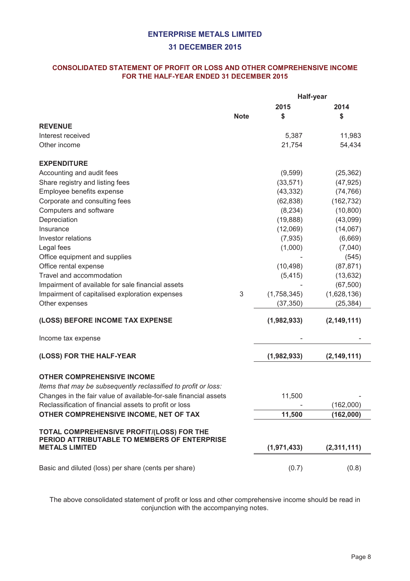#### **31 DECEMBER 2015**

#### **CONSOLIDATED STATEMENT OF PROFIT OR LOSS AND OTHER COMPREHENSIVE INCOME FOR THE HALF-YEAR ENDED 31 DECEMBER 2015**

|                                                                                                                                                                                                                                                                                                                                                                                  | Half-year   |                           |                                 |  |
|----------------------------------------------------------------------------------------------------------------------------------------------------------------------------------------------------------------------------------------------------------------------------------------------------------------------------------------------------------------------------------|-------------|---------------------------|---------------------------------|--|
|                                                                                                                                                                                                                                                                                                                                                                                  |             | 2015                      | 2014                            |  |
|                                                                                                                                                                                                                                                                                                                                                                                  | <b>Note</b> | \$                        | \$                              |  |
| <b>REVENUE</b>                                                                                                                                                                                                                                                                                                                                                                   |             |                           |                                 |  |
| Interest received                                                                                                                                                                                                                                                                                                                                                                |             | 5,387                     | 11,983                          |  |
| Other income                                                                                                                                                                                                                                                                                                                                                                     |             | 21,754                    | 54,434                          |  |
| <b>EXPENDITURE</b>                                                                                                                                                                                                                                                                                                                                                               |             |                           |                                 |  |
| Accounting and audit fees                                                                                                                                                                                                                                                                                                                                                        |             | (9,599)                   | (25, 362)                       |  |
| Share registry and listing fees                                                                                                                                                                                                                                                                                                                                                  |             | (33, 571)                 | (47, 925)                       |  |
| Employee benefits expense                                                                                                                                                                                                                                                                                                                                                        |             | (43, 332)                 | (74, 766)                       |  |
| Corporate and consulting fees                                                                                                                                                                                                                                                                                                                                                    |             | (62, 838)                 | (162, 732)                      |  |
| Computers and software                                                                                                                                                                                                                                                                                                                                                           |             | (8, 234)                  | (10, 800)                       |  |
| Depreciation                                                                                                                                                                                                                                                                                                                                                                     |             | (19, 888)                 | (43,099)                        |  |
| Insurance                                                                                                                                                                                                                                                                                                                                                                        |             | (12,069)                  | (14,067)                        |  |
| Investor relations                                                                                                                                                                                                                                                                                                                                                               |             | (7,935)                   | (6,669)                         |  |
| Legal fees                                                                                                                                                                                                                                                                                                                                                                       |             | (1,000)                   | (7,040)                         |  |
| Office equipment and supplies                                                                                                                                                                                                                                                                                                                                                    |             |                           | (545)                           |  |
| Office rental expense                                                                                                                                                                                                                                                                                                                                                            |             | (10, 498)                 | (87, 871)                       |  |
| Travel and accommodation                                                                                                                                                                                                                                                                                                                                                         |             | (5, 415)                  | (13, 632)                       |  |
| Impairment of available for sale financial assets                                                                                                                                                                                                                                                                                                                                |             |                           | (67, 500)                       |  |
| Impairment of capitalised exploration expenses                                                                                                                                                                                                                                                                                                                                   | 3           | (1,758,345)               | (1,628,136)                     |  |
| Other expenses                                                                                                                                                                                                                                                                                                                                                                   |             | (37, 350)                 | (25, 384)                       |  |
| (LOSS) BEFORE INCOME TAX EXPENSE                                                                                                                                                                                                                                                                                                                                                 |             | (1,982,933)               | (2, 149, 111)                   |  |
| Income tax expense                                                                                                                                                                                                                                                                                                                                                               |             |                           |                                 |  |
| (LOSS) FOR THE HALF-YEAR                                                                                                                                                                                                                                                                                                                                                         |             | (1,982,933)               | (2, 149, 111)                   |  |
|                                                                                                                                                                                                                                                                                                                                                                                  |             |                           |                                 |  |
|                                                                                                                                                                                                                                                                                                                                                                                  |             |                           |                                 |  |
|                                                                                                                                                                                                                                                                                                                                                                                  |             |                           |                                 |  |
|                                                                                                                                                                                                                                                                                                                                                                                  |             |                           |                                 |  |
|                                                                                                                                                                                                                                                                                                                                                                                  |             |                           |                                 |  |
|                                                                                                                                                                                                                                                                                                                                                                                  |             |                           |                                 |  |
|                                                                                                                                                                                                                                                                                                                                                                                  |             |                           |                                 |  |
| PERIOD ATTRIBUTABLE TO MEMBERS OF ENTERPRISE                                                                                                                                                                                                                                                                                                                                     |             |                           |                                 |  |
| <b>METALS LIMITED</b>                                                                                                                                                                                                                                                                                                                                                            |             | (1,971,433)               | (2,311,111)                     |  |
|                                                                                                                                                                                                                                                                                                                                                                                  |             |                           |                                 |  |
| <b>OTHER COMPREHENSIVE INCOME</b><br>Items that may be subsequently reclassified to profit or loss:<br>Changes in the fair value of available-for-sale financial assets<br>Reclassification of financial assets to profit or loss<br>OTHER COMPREHENSIVE INCOME, NET OF TAX<br>TOTAL COMPREHENSIVE PROFIT/(LOSS) FOR THE<br>Basic and diluted (loss) per share (cents per share) |             | 11,500<br>11,500<br>(0.7) | (162,000)<br>(162,000)<br>(0.8) |  |

The above consolidated statement of profit or loss and other comprehensive income should be read in conjunction with the accompanying notes.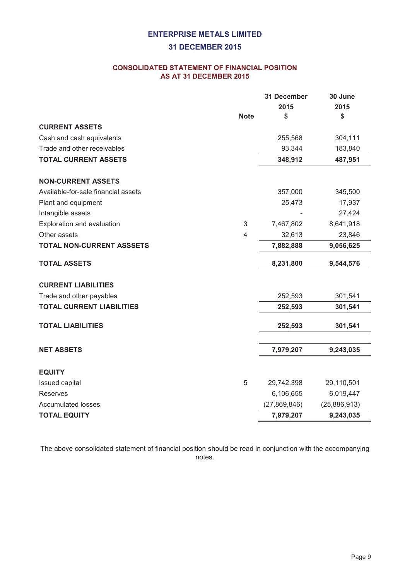#### **31 DECEMBER 2015**

#### **CONSOLIDATED STATEMENT OF FINANCIAL POSITION AS AT 31 DECEMBER 2015**

|                                     |             | 31 December    | 30 June      |
|-------------------------------------|-------------|----------------|--------------|
|                                     |             | 2015           | 2015         |
|                                     | <b>Note</b> | \$             | \$           |
| <b>CURRENT ASSETS</b>               |             |                |              |
| Cash and cash equivalents           |             | 255,568        | 304,111      |
| Trade and other receivables         |             | 93,344         | 183,840      |
| <b>TOTAL CURRENT ASSETS</b>         |             | 348,912        | 487,951      |
| <b>NON-CURRENT ASSETS</b>           |             |                |              |
| Available-for-sale financial assets |             | 357,000        | 345,500      |
| Plant and equipment                 |             | 25,473         | 17,937       |
| Intangible assets                   |             |                | 27,424       |
| Exploration and evaluation          | 3           | 7,467,802      | 8,641,918    |
| Other assets                        | 4           | 32,613         | 23,846       |
| <b>TOTAL NON-CURRENT ASSSETS</b>    |             | 7,882,888      | 9,056,625    |
| <b>TOTAL ASSETS</b>                 |             | 8,231,800      | 9,544,576    |
| <b>CURRENT LIABILITIES</b>          |             |                |              |
| Trade and other payables            |             | 252,593        | 301,541      |
| <b>TOTAL CURRENT LIABILITIES</b>    |             | 252,593        | 301,541      |
| <b>TOTAL LIABILITIES</b>            |             | 252,593        | 301,541      |
| <b>NET ASSETS</b>                   |             | 7,979,207      | 9,243,035    |
| <b>EQUITY</b>                       |             |                |              |
| Issued capital                      | $\sqrt{5}$  | 29,742,398     | 29,110,501   |
| Reserves                            |             | 6,106,655      | 6,019,447    |
| <b>Accumulated losses</b>           |             | (27, 869, 846) | (25,886,913) |
| <b>TOTAL EQUITY</b>                 |             | 7,979,207      | 9,243,035    |

The above consolidated statement of financial position should be read in conjunction with the accompanying notes.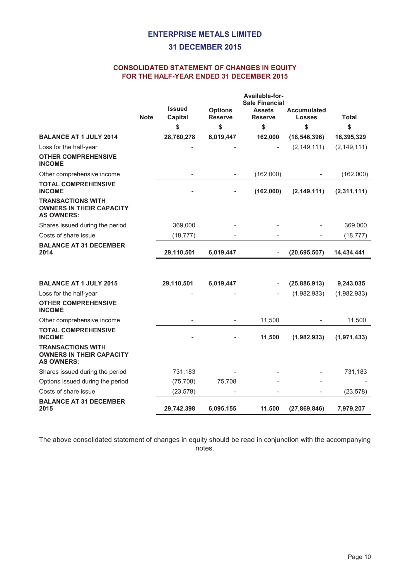#### **31 DECEMBER 2015**

#### **CONSOLIDATED STATEMENT OF CHANGES IN EQUITY FOR THE HALF-YEAR ENDED 31 DECEMBER 2015**

|                                                                                  |             | <b>Issued</b> | <b>Options</b>           | Available-for-<br><b>Sale Financial</b><br><b>Assets</b> | <b>Accumulated</b> |               |
|----------------------------------------------------------------------------------|-------------|---------------|--------------------------|----------------------------------------------------------|--------------------|---------------|
|                                                                                  | <b>Note</b> | Capital       | <b>Reserve</b>           | <b>Reserve</b>                                           | Losses             | <b>Total</b>  |
|                                                                                  |             | \$            | \$                       | \$                                                       | \$                 | \$            |
| <b>BALANCE AT 1 JULY 2014</b>                                                    |             | 28,760,278    | 6,019,447                | 162,000                                                  | (18, 546, 396)     | 16,395,329    |
| Loss for the half-year                                                           |             |               |                          |                                                          | (2, 149, 111)      | (2, 149, 111) |
| <b>OTHER COMPREHENSIVE</b><br><b>INCOME</b>                                      |             |               |                          |                                                          |                    |               |
| Other comprehensive income                                                       |             |               | $\overline{\phantom{m}}$ | (162,000)                                                |                    | (162,000)     |
| <b>TOTAL COMPREHENSIVE</b><br><b>INCOME</b>                                      |             |               |                          | (162,000)                                                | (2, 149, 111)      | (2,311,111)   |
| <b>TRANSACTIONS WITH</b><br><b>OWNERS IN THEIR CAPACITY</b><br><b>AS OWNERS:</b> |             |               |                          |                                                          |                    |               |
| Shares issued during the period                                                  |             | 369,000       |                          |                                                          |                    | 369,000       |
| Costs of share issue                                                             |             | (18, 777)     |                          |                                                          |                    | (18, 777)     |
| <b>BALANCE AT 31 DECEMBER</b><br>2014                                            |             | 29,110,501    | 6,019,447                |                                                          | (20, 695, 507)     | 14,434,441    |
|                                                                                  |             |               |                          |                                                          |                    |               |
| <b>BALANCE AT 1 JULY 2015</b>                                                    |             | 29,110,501    | 6,019,447                |                                                          | (25, 886, 913)     | 9,243,035     |
| Loss for the half-year                                                           |             |               |                          |                                                          | (1,982,933)        | (1,982,933)   |
| <b>OTHER COMPREHENSIVE</b><br><b>INCOME</b>                                      |             |               |                          |                                                          |                    |               |
| Other comprehensive income                                                       |             |               |                          | 11,500                                                   |                    | 11,500        |
| <b>TOTAL COMPREHENSIVE</b><br><b>INCOME</b>                                      |             |               |                          | 11,500                                                   | (1,982,933)        | (1,971,433)   |
| <b>TRANSACTIONS WITH</b><br><b>OWNERS IN THEIR CAPACITY</b><br><b>AS OWNERS:</b> |             |               |                          |                                                          |                    |               |
| Shares issued during the period                                                  |             | 731,183       |                          |                                                          |                    | 731,183       |
| Options issued during the period                                                 |             | (75, 708)     | 75,708                   |                                                          |                    |               |
| Costs of share issue                                                             |             | (23, 578)     |                          |                                                          |                    | (23, 578)     |
| <b>BALANCE AT 31 DECEMBER</b><br>2015                                            |             | 29,742,398    | 6,095,155                | 11,500                                                   | (27,869,846)       | 7,979,207     |

The above consolidated statement of changes in equity should be read in conjunction with the accompanying notes.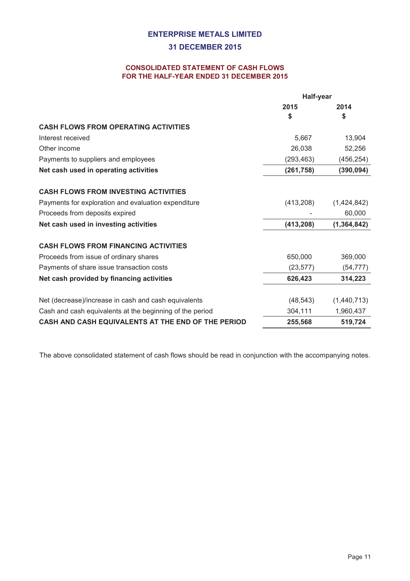#### **31 DECEMBER 2015**

#### **CONSOLIDATED STATEMENT OF CASH FLOWS FOR THE HALF-YEAR ENDED 31 DECEMBER 2015**

|                                                          | Half-year  |               |
|----------------------------------------------------------|------------|---------------|
|                                                          | 2015       | 2014          |
|                                                          | \$         | \$            |
| <b>CASH FLOWS FROM OPERATING ACTIVITIES</b>              |            |               |
| Interest received                                        | 5,667      | 13,904        |
| Other income                                             | 26,038     | 52,256        |
| Payments to suppliers and employees                      | (293, 463) | (456, 254)    |
| Net cash used in operating activities                    | (261, 758) | (390, 094)    |
| <b>CASH FLOWS FROM INVESTING ACTIVITIES</b>              |            |               |
| Payments for exploration and evaluation expenditure      | (413,208)  | (1,424,842)   |
| Proceeds from deposits expired                           |            | 60,000        |
| Net cash used in investing activities                    | (413, 208) | (1, 364, 842) |
| <b>CASH FLOWS FROM FINANCING ACTIVITIES</b>              |            |               |
| Proceeds from issue of ordinary shares                   | 650,000    | 369,000       |
| Payments of share issue transaction costs                | (23, 577)  | (54, 777)     |
| Net cash provided by financing activities                | 626,423    | 314,223       |
| Net (decrease)/increase in cash and cash equivalents     | (48, 543)  | (1,440,713)   |
| Cash and cash equivalents at the beginning of the period | 304,111    | 1,960,437     |
| CASH AND CASH EQUIVALENTS AT THE END OF THE PERIOD       | 255,568    | 519,724       |

The above consolidated statement of cash flows should be read in conjunction with the accompanying notes.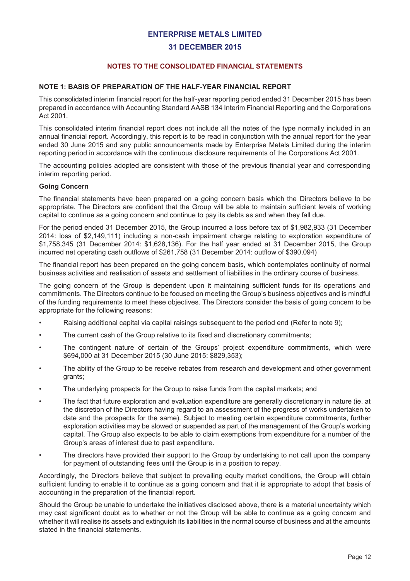#### **31 DECEMBER 2015**

#### **NOTES TO THE CONSOLIDATED FINANCIAL STATEMENTS**

#### **NOTE 1: BASIS OF PREPARATION OF THE HALF-YEAR FINANCIAL REPORT**

This consolidated interim financial report for the half-year reporting period ended 31 December 2015 has been prepared in accordance with Accounting Standard AASB 134 Interim Financial Reporting and the Corporations Act 2001.

This consolidated interim financial report does not include all the notes of the type normally included in an annual financial report. Accordingly, this report is to be read in conjunction with the annual report for the year ended 30 June 2015 and any public announcements made by Enterprise Metals Limited during the interim reporting period in accordance with the continuous disclosure requirements of the Corporations Act 2001.

The accounting policies adopted are consistent with those of the previous financial year and corresponding interim reporting period.

#### **Going Concern**

The financial statements have been prepared on a going concern basis which the Directors believe to be appropriate. The Directors are confident that the Group will be able to maintain sufficient levels of working capital to continue as a going concern and continue to pay its debts as and when they fall due.

For the period ended 31 December 2015, the Group incurred a loss before tax of \$1,982,933 (31 December 2014: loss of \$2,149,111) including a non-cash impairment charge relating to exploration expenditure of \$1,758,345 (31 December 2014: \$1,628,136). For the half year ended at 31 December 2015, the Group incurred net operating cash outflows of \$261,758 (31 December 2014: outflow of \$390,094)

The financial report has been prepared on the going concern basis, which contemplates continuity of normal business activities and realisation of assets and settlement of liabilities in the ordinary course of business.

The going concern of the Group is dependent upon it maintaining sufficient funds for its operations and commitments. The Directors continue to be focused on meeting the Group's business objectives and is mindful of the funding requirements to meet these objectives. The Directors consider the basis of going concern to be appropriate for the following reasons:

- Raising additional capital via capital raisings subsequent to the period end (Refer to note 9);
- The current cash of the Group relative to its fixed and discretionary commitments;
- The contingent nature of certain of the Groups' project expenditure commitments, which were \$694,000 at 31 December 2015 (30 June 2015: \$829,353);
- The ability of the Group to be receive rebates from research and development and other government grants;
- The underlying prospects for the Group to raise funds from the capital markets; and
- The fact that future exploration and evaluation expenditure are generally discretionary in nature (ie. at the discretion of the Directors having regard to an assessment of the progress of works undertaken to date and the prospects for the same). Subject to meeting certain expenditure commitments, further exploration activities may be slowed or suspended as part of the management of the Group's working capital. The Group also expects to be able to claim exemptions from expenditure for a number of the Group's areas of interest due to past expenditure.
- The directors have provided their support to the Group by undertaking to not call upon the company for payment of outstanding fees until the Group is in a position to repay.

Accordingly, the Directors believe that subject to prevailing equity market conditions, the Group will obtain sufficient funding to enable it to continue as a going concern and that it is appropriate to adopt that basis of accounting in the preparation of the financial report.

Should the Group be unable to undertake the initiatives disclosed above, there is a material uncertainty which may cast significant doubt as to whether or not the Group will be able to continue as a going concern and whether it will realise its assets and extinguish its liabilities in the normal course of business and at the amounts stated in the financial statements.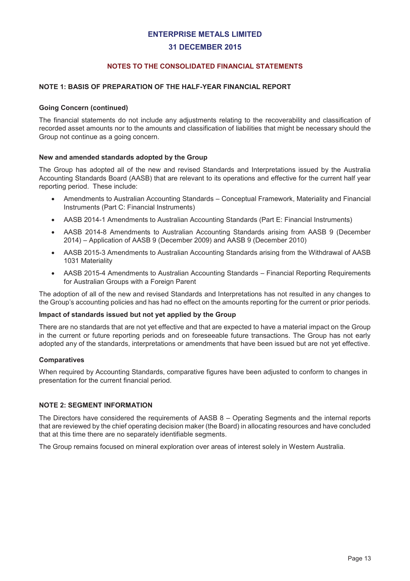#### **31 DECEMBER 2015**

#### **NOTES TO THE CONSOLIDATED FINANCIAL STATEMENTS**

#### **NOTE 1: BASIS OF PREPARATION OF THE HALF-YEAR FINANCIAL REPORT**

#### **Going Concern (continued)**

The financial statements do not include any adjustments relating to the recoverability and classification of recorded asset amounts nor to the amounts and classification of liabilities that might be necessary should the Group not continue as a going concern.

#### **New and amended standards adopted by the Group**

The Group has adopted all of the new and revised Standards and Interpretations issued by the Australia Accounting Standards Board (AASB) that are relevant to its operations and effective for the current half year reporting period. These include:

- · Amendments to Australian Accounting Standards Conceptual Framework, Materiality and Financial Instruments (Part C: Financial Instruments)
- · AASB 2014-1 Amendments to Australian Accounting Standards (Part E: Financial Instruments)
- · AASB 2014-8 Amendments to Australian Accounting Standards arising from AASB 9 (December 2014) – Application of AASB 9 (December 2009) and AASB 9 (December 2010)
- · AASB 2015-3 Amendments to Australian Accounting Standards arising from the Withdrawal of AASB 1031 Materiality
- · AASB 2015-4 Amendments to Australian Accounting Standards Financial Reporting Requirements for Australian Groups with a Foreign Parent

The adoption of all of the new and revised Standards and Interpretations has not resulted in any changes to the Group's accounting policies and has had no effect on the amounts reporting for the current or prior periods.

#### **Impact of standards issued but not yet applied by the Group**

There are no standards that are not yet effective and that are expected to have a material impact on the Group in the current or future reporting periods and on foreseeable future transactions. The Group has not early adopted any of the standards, interpretations or amendments that have been issued but are not yet effective.

#### **Comparatives**

When required by Accounting Standards, comparative figures have been adjusted to conform to changes in presentation for the current financial period.

#### **NOTE 2: SEGMENT INFORMATION**

The Directors have considered the requirements of AASB 8 – Operating Segments and the internal reports that are reviewed by the chief operating decision maker (the Board) in allocating resources and have concluded that at this time there are no separately identifiable segments.

The Group remains focused on mineral exploration over areas of interest solely in Western Australia.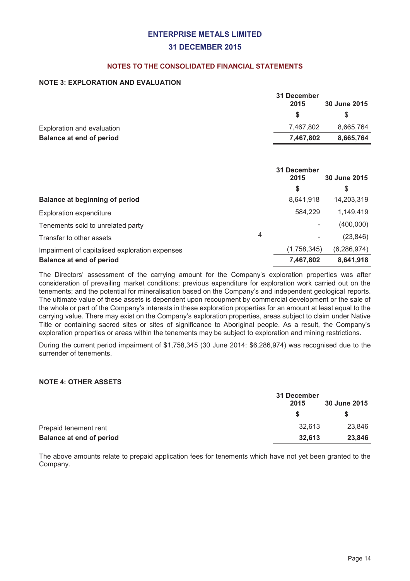#### **31 DECEMBER 2015**

#### **NOTES TO THE CONSOLIDATED FINANCIAL STATEMENTS**

#### **NOTE 3: EXPLORATION AND EVALUATION**

|                                 | 31 December |              |
|---------------------------------|-------------|--------------|
|                                 | 2015        | 30 June 2015 |
|                                 | <b>S</b>    | \$.          |
| Exploration and evaluation      | 7.467.802   | 8,665,764    |
| <b>Balance at end of period</b> | 7,467,802   | 8,665,764    |
|                                 |             |              |

|                                                |   | 31 December<br>2015 | 30 June 2015  |
|------------------------------------------------|---|---------------------|---------------|
|                                                |   | \$                  | \$            |
| <b>Balance at beginning of period</b>          |   | 8,641,918           | 14,203,319    |
| <b>Exploration expenditure</b>                 |   | 584.229             | 1,149,419     |
| Tenements sold to unrelated party              |   |                     | (400,000)     |
| Transfer to other assets                       | 4 |                     | (23, 846)     |
| Impairment of capitalised exploration expenses |   | (1,758,345)         | (6, 286, 974) |
| <b>Balance at end of period</b>                |   | 7,467,802           | 8,641,918     |

The Directors' assessment of the carrying amount for the Company's exploration properties was after consideration of prevailing market conditions; previous expenditure for exploration work carried out on the tenements; and the potential for mineralisation based on the Company's and independent geological reports. The ultimate value of these assets is dependent upon recoupment by commercial development or the sale of the whole or part of the Company's interests in these exploration properties for an amount at least equal to the carrying value. There may exist on the Company's exploration properties, areas subject to claim under Native Title or containing sacred sites or sites of significance to Aboriginal people. As a result, the Company's exploration properties or areas within the tenements may be subject to exploration and mining restrictions.

During the current period impairment of \$1,758,345 (30 June 2014: \$6,286,974) was recognised due to the surrender of tenements.

#### **NOTE 4: OTHER ASSETS**

|                                 | 31 December |              |
|---------------------------------|-------------|--------------|
|                                 | 2015        | 30 June 2015 |
|                                 | -SS         |              |
| Prepaid tenement rent           | 32.613      | 23,846       |
| <b>Balance at end of period</b> | 32,613      | 23,846       |

The above amounts relate to prepaid application fees for tenements which have not yet been granted to the Company.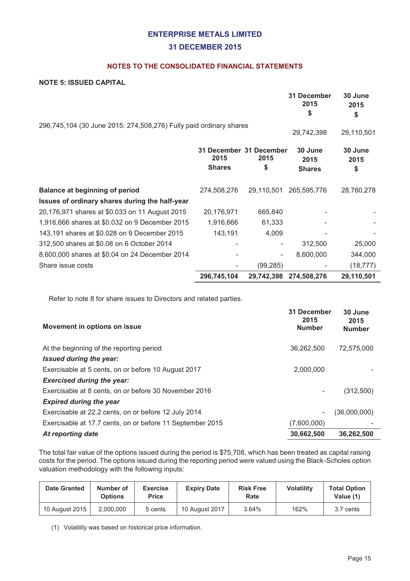#### **31 DECEMBER 2015**

#### **NOTES TO THE CONSOLIDATED FINANCIAL STATEMENTS**

#### **NOTE 5: ISSUED CAPITAL**

|                                                                    |                       |                                       | 31 December<br>2015<br>\$        | 30 June<br>2015<br>\$ |
|--------------------------------------------------------------------|-----------------------|---------------------------------------|----------------------------------|-----------------------|
| 296,745,104 (30 June 2015: 274,508,276) Fully paid ordinary shares |                       |                                       | 29,742,398                       | 29,110,501            |
|                                                                    | 2015<br><b>Shares</b> | 31 December 31 December<br>2015<br>\$ | 30 June<br>2015<br><b>Shares</b> | 30 June<br>2015<br>\$ |
| <b>Balance at beginning of period</b>                              | 274,508,276           | 29,110,501                            | 265,595,776                      | 28,760,278            |
| Issues of ordinary shares during the half-year                     |                       |                                       |                                  |                       |
| 20,176,971 shares at \$0.033 on 11 August 2015                     | 20,176,971            | 665,840                               |                                  |                       |
| 1,916,666 shares at \$0.032 on 9 December 2015                     | 1,916,666             | 61,333                                |                                  |                       |
| 143,191 shares at \$0.028 on 9 December 2015                       | 143,191               | 4,009                                 |                                  |                       |
| 312,500 shares at \$0.08 on 6 October 2014                         |                       |                                       | 312,500                          | 25,000                |
| 8,600,000 shares at \$0.04 on 24 December 2014                     |                       |                                       | 8,600,000                        | 344,000               |
| Share issue costs                                                  |                       | (99, 285)                             |                                  | (18, 777)             |
|                                                                    | 296,745,104           |                                       | 29,742,398 274,508,276           | 29,110,501            |

Refer to note 8 for share issues to Directors and related parties.

| 2015<br><b>Number</b>    | 30 June<br>2015<br><b>Number</b> |
|--------------------------|----------------------------------|
| 36,262,500               | 72,575,000                       |
|                          |                                  |
| 2,000,000                |                                  |
|                          |                                  |
| -                        | (312,500)                        |
|                          |                                  |
| $\overline{\phantom{a}}$ | (36,000,000)                     |
| (7,600,000)              |                                  |
| 30,662,500               | 36,262,500                       |
|                          | 31 December                      |

The total fair value of the options issued during the period is \$75,708, which has been treated as capital raising costs for the period. The options issued during the reporting period were valued using the Black-Scholes option valuation methodology with the following inputs:

| <b>Date Granted</b> | Number of<br><b>Options</b> | <b>Exercise</b><br>Price | <b>Expiry Date</b> | <b>Risk Free</b><br>Rate | <b>Volatility</b> | <b>Total Option</b><br>Value (1) |
|---------------------|-----------------------------|--------------------------|--------------------|--------------------------|-------------------|----------------------------------|
| 10 August 2015      | 2.000.000                   | 5 cents                  | 10 August 2017     | 3.64%                    | 162%              | 3.7 cents                        |

(1) Volatility was based on historical price information.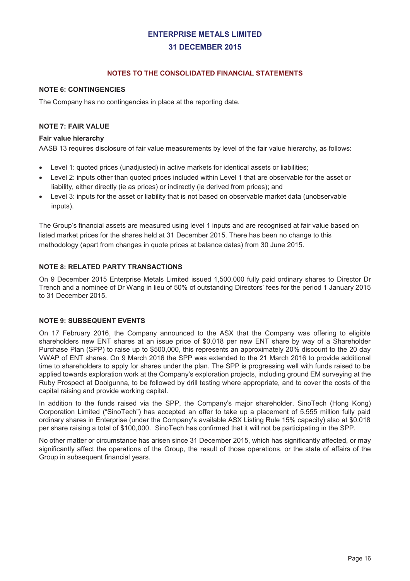#### **NOTES TO THE CONSOLIDATED FINANCIAL STATEMENTS**

#### **NOTE 6: CONTINGENCIES**

The Company has no contingencies in place at the reporting date.

#### **NOTE 7: FAIR VALUE**

#### **Fair value hierarchy**

AASB 13 requires disclosure of fair value measurements by level of the fair value hierarchy, as follows:

- · Level 1: quoted prices (unadjusted) in active markets for identical assets or liabilities;
- Level 2: inputs other than quoted prices included within Level 1 that are observable for the asset or liability, either directly (ie as prices) or indirectly (ie derived from prices); and
- · Level 3: inputs for the asset or liability that is not based on observable market data (unobservable inputs).

The Group's financial assets are measured using level 1 inputs and are recognised at fair value based on listed market prices for the shares held at 31 December 2015. There has been no change to this methodology (apart from changes in quote prices at balance dates) from 30 June 2015.

#### **NOTE 8: RELATED PARTY TRANSACTIONS**

On 9 December 2015 Enterprise Metals Limited issued 1,500,000 fully paid ordinary shares to Director Dr Trench and a nominee of Dr Wang in lieu of 50% of outstanding Directors' fees for the period 1 January 2015 to 31 December 2015.

#### **NOTE 9: SUBSEQUENT EVENTS**

On 17 February 2016, the Company announced to the ASX that the Company was offering to eligible shareholders new ENT shares at an issue price of \$0.018 per new ENT share by way of a Shareholder Purchase Plan (SPP) to raise up to \$500,000, this represents an approximately 20% discount to the 20 day VWAP of ENT shares. On 9 March 2016 the SPP was extended to the 21 March 2016 to provide additional time to shareholders to apply for shares under the plan. The SPP is progressing well with funds raised to be applied towards exploration work at the Company's exploration projects, including ground EM surveying at the Ruby Prospect at Doolgunna, to be followed by drill testing where appropriate, and to cover the costs of the capital raising and provide working capital.

In addition to the funds raised via the SPP, the Company's major shareholder, SinoTech (Hong Kong) Corporation Limited ("SinoTech") has accepted an offer to take up a placement of 5.555 million fully paid ordinary shares in Enterprise (under the Company's available ASX Listing Rule 15% capacity) also at \$0.018 per share raising a total of \$100,000. SinoTech has confirmed that it will not be participating in the SPP.

No other matter or circumstance has arisen since 31 December 2015, which has significantly affected, or may significantly affect the operations of the Group, the result of those operations, or the state of affairs of the Group in subsequent financial years.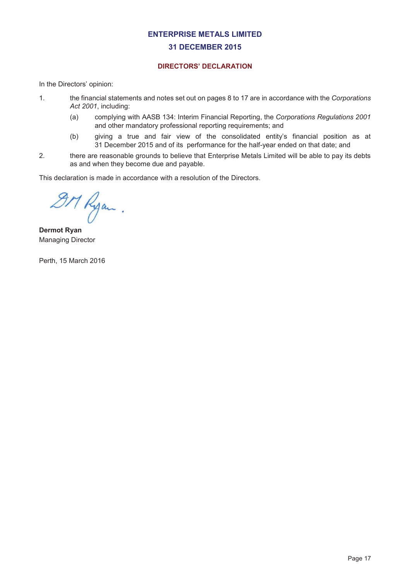## **31 DECEMBER 2015**

#### **DIRECTORS' DECLARATION**

In the Directors' opinion:

- 1. the financial statements and notes set out on pages 8 to 17 are in accordance with the *Corporations Act 2001*, including:
	- (a) complying with AASB 134: Interim Financial Reporting, the *Corporations Regulations 2001* and other mandatory professional reporting requirements; and
	- (b) giving a true and fair view of the consolidated entity's financial position as at 31 December 2015 and of its performance for the half-year ended on that date; and
- 2. there are reasonable grounds to believe that Enterprise Metals Limited will be able to pay its debts as and when they become due and payable.

This declaration is made in accordance with a resolution of the Directors.

DM Ryan.

**Dermot Ryan** Managing Director

Perth, 15 March 2016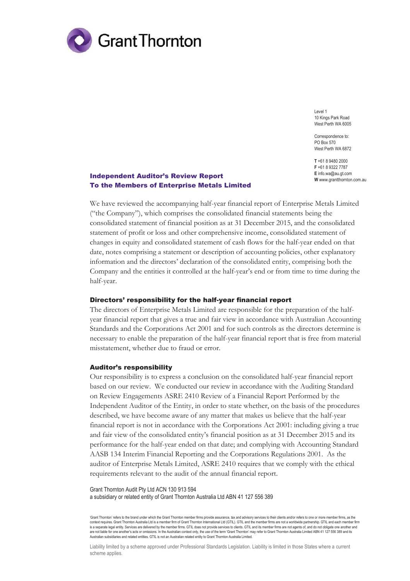

Level 1 10 Kings Park Road West Perth WA 6005

Correspondence to: PO Box 570 West Perth WA 6872

**T** +61 8 9480 2000 **F** +61 8 9322 7787 **E** info.wa@au.gt.com **W** www.grantthornton.com.au

#### Independent Auditor's Review Report To the Members of Enterprise Metals Limited

We have reviewed the accompanying half-year financial report of Enterprise Metals Limited ("the Company"), which comprises the consolidated financial statements being the consolidated statement of financial position as at 31 December 2015, and the consolidated statement of profit or loss and other comprehensive income, consolidated statement of changes in equity and consolidated statement of cash flows for the half-year ended on that date, notes comprising a statement or description of accounting policies, other explanatory information and the directors' declaration of the consolidated entity, comprising both the Company and the entities it controlled at the half-year's end or from time to time during the half-year.

#### Directors' responsibility for the half-year financial report

The directors of Enterprise Metals Limited are responsible for the preparation of the halfyear financial report that gives a true and fair view in accordance with Australian Accounting Standards and the Corporations Act 2001 and for such controls as the directors determine is necessary to enable the preparation of the half-year financial report that is free from material misstatement, whether due to fraud or error.

#### Auditor's responsibility

Our responsibility is to express a conclusion on the consolidated half-year financial report based on our review. We conducted our review in accordance with the Auditing Standard on Review Engagements ASRE 2410 Review of a Financial Report Performed by the Independent Auditor of the Entity, in order to state whether, on the basis of the procedures described, we have become aware of any matter that makes us believe that the half-year financial report is not in accordance with the Corporations Act 2001: including giving a true and fair view of the consolidated entity's financial position as at 31 December 2015 and its performance for the half-year ended on that date; and complying with Accounting Standard AASB 134 Interim Financial Reporting and the Corporations Regulations 2001. As the auditor of Enterprise Metals Limited, ASRE 2410 requires that we comply with the ethical requirements relevant to the audit of the annual financial report.

Grant Thornton Audit Pty Ltd ACN 130 913 594 a subsidiary or related entity of Grant Thornton Australia Ltd ABN 41 127 556 389

'Grant Thornton' refers to the brand under which the Grant Thornton member firms provide assurance, tax and advisory services to their clients and/or refers to one or more member firms, as the context requires. Grant Thomton Australia Ltd is a member firm of Grant Thomton International Ltd (GTIL). GTIL and the member firms are not a worldwide partnership. GTIL and each member firm<br>is a separate legal entity. Ser are not liable for one another's acts or omissions. In the Australian context only, the use of the term 'Grant Thornton' may refer to Grant Thornton Australia Limited ABN 41 127 556 389 and its<br>Australian subsidiaries and

Liability limited by a scheme approved under Professional Standards Legislation. Liability is limited in those States where a current scheme applies.